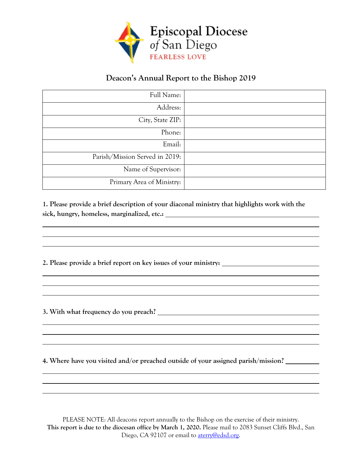

## **Deacon's Annual Report to the Bishop 2019**

| Full Name:                     |  |
|--------------------------------|--|
| Address:                       |  |
| City, State ZIP:               |  |
| Phone:                         |  |
| Email:                         |  |
| Parish/Mission Served in 2019: |  |
| Name of Supervisor:            |  |
| Primary Area of Ministry:      |  |

**1. Please provide a brief description of your diaconal ministry that highlights work with the sick, hungry, homeless, marginalized, etc.:** 

**2. Please provide a brief report on key issues of your ministry:**

**3. With what frequency do you preach?**

**4. Where have you visited and/or preached outside of your assigned parish/mission?**

PLEASE NOTE: All deacons report annually to the Bishop on the exercise of their ministry. **This report is due to the diocesan office by March 1, 2020.** Please mail to 2083 Sunset Cliffs Blvd., San Diego, CA 92107 or email to **aterry@edsd.org.**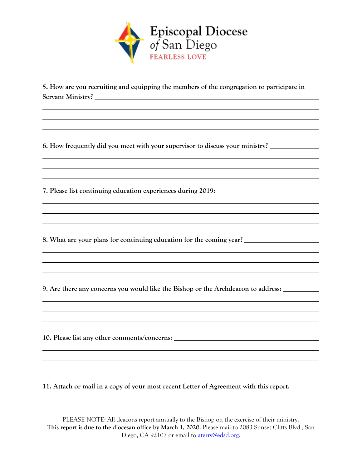

**5. How are you recruiting and equipping the members of the congregation to participate in Servant Ministry?**

**6. How frequently did you meet with your supervisor to discuss your ministry?**

**7. Please list continuing education experiences during 2019:**

**8. What are your plans for continuing education for the coming year?**

**9. Are there any concerns you would like the Bishop or the Archdeacon to address:**

**10. Please list any other comments/concerns:**

**11. Attach or mail in a copy of your most recent Letter of Agreement with this report.**

PLEASE NOTE: All deacons report annually to the Bishop on the exercise of their ministry. **This report is due to the diocesan office by March 1, 2020.** Please mail to 2083 Sunset Cliffs Blvd., San Diego, CA 92107 or email to **aterry@edsd.org.**